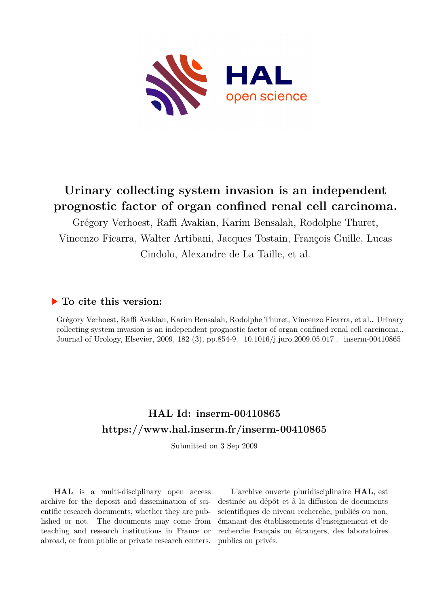

# **Urinary collecting system invasion is an independent prognostic factor of organ confined renal cell carcinoma.**

Grégory Verhoest, Raffi Avakian, Karim Bensalah, Rodolphe Thuret, Vincenzo Ficarra, Walter Artibani, Jacques Tostain, François Guille, Lucas Cindolo, Alexandre de La Taille, et al.

# **To cite this version:**

Grégory Verhoest, Raffi Avakian, Karim Bensalah, Rodolphe Thuret, Vincenzo Ficarra, et al.. Urinary collecting system invasion is an independent prognostic factor of organ confined renal cell carcinoma.. Journal of Urology, Elsevier, 2009, 182 (3), pp.854-9. 10.1016/j.juro.2009.05.017. inserm-00410865

# **HAL Id: inserm-00410865 <https://www.hal.inserm.fr/inserm-00410865>**

Submitted on 3 Sep 2009

**HAL** is a multi-disciplinary open access archive for the deposit and dissemination of scientific research documents, whether they are published or not. The documents may come from teaching and research institutions in France or abroad, or from public or private research centers.

L'archive ouverte pluridisciplinaire **HAL**, est destinée au dépôt et à la diffusion de documents scientifiques de niveau recherche, publiés ou non, émanant des établissements d'enseignement et de recherche français ou étrangers, des laboratoires publics ou privés.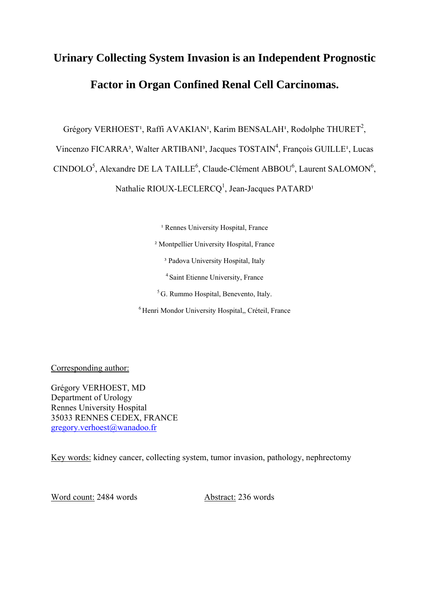# **Urinary Collecting System Invasion is an Independent Prognostic Factor in Organ Confined Renal Cell Carcinomas.**

Grégory VERHOEST<sup>1</sup>, Raffi AVAKIAN<sup>1</sup>, Karim BENSALAH<sup>1</sup>, Rodolphe THURET<sup>2</sup>,

Vincenzo FICARRA<sup>3</sup>, Walter ARTIBANI<sup>3</sup>, Jacques TOSTAIN<sup>4</sup>, François GUILLE<sup>1</sup>, Lucas

 $CINDOLO<sup>5</sup>$ , Alexandre DE LA TAILLE<sup>6</sup>, Claude-Clément ABBOU<sup>6</sup>, Laurent SALOMON<sup>6</sup>,

Nathalie RIOUX-LECLERCQ<sup>1</sup>, Jean-Jacques PATARD<sup>1</sup>

<sup>1</sup> Rennes University Hospital, France

² Montpellier University Hospital, France

<sup>3</sup> Padova University Hospital, Italy

4 Saint Etienne University, France

5 G. Rummo Hospital, Benevento, Italy.

6 Henri Mondor University Hospital,, Créteil, France

Corresponding author:

Grégory VERHOEST, MD Department of Urology Rennes University Hospital 35033 RENNES CEDEX, FRANCE gregory.verhoest@wanadoo.fr

Key words: kidney cancer, collecting system, tumor invasion, pathology, nephrectomy

Word count: 2484 words Abstract: 236 words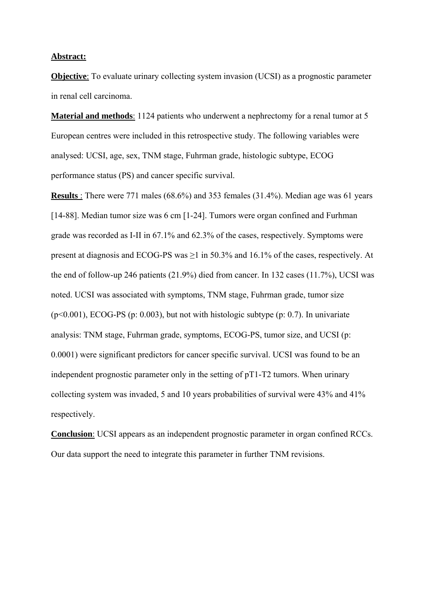#### **Abstract:**

**Objective**: To evaluate urinary collecting system invasion (UCSI) as a prognostic parameter in renal cell carcinoma.

**Material and methods**: 1124 patients who underwent a nephrectomy for a renal tumor at 5 European centres were included in this retrospective study. The following variables were analysed: UCSI, age, sex, TNM stage, Fuhrman grade, histologic subtype, ECOG performance status (PS) and cancer specific survival.

**Results** : There were 771 males (68.6%) and 353 females (31.4%). Median age was 61 years [14-88]. Median tumor size was 6 cm [1-24]. Tumors were organ confined and Furhman grade was recorded as I-II in 67.1% and 62.3% of the cases, respectively. Symptoms were present at diagnosis and ECOG-PS was  $\geq$ 1 in 50.3% and 16.1% of the cases, respectively. At the end of follow-up 246 patients (21.9%) died from cancer. In 132 cases (11.7%), UCSI was noted. UCSI was associated with symptoms, TNM stage, Fuhrman grade, tumor size  $(p<0.001)$ , ECOG-PS (p: 0.003), but not with histologic subtype (p: 0.7). In univariate analysis: TNM stage, Fuhrman grade, symptoms, ECOG-PS, tumor size, and UCSI (p: 0.0001) were significant predictors for cancer specific survival. UCSI was found to be an independent prognostic parameter only in the setting of pT1-T2 tumors. When urinary collecting system was invaded, 5 and 10 years probabilities of survival were 43% and 41% respectively.

**Conclusion**: UCSI appears as an independent prognostic parameter in organ confined RCCs. Our data support the need to integrate this parameter in further TNM revisions.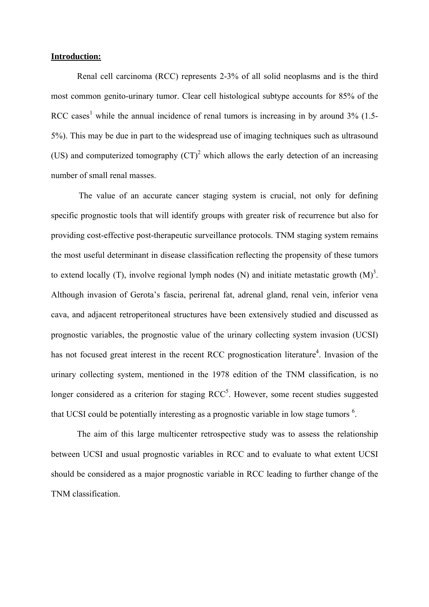#### **Introduction:**

Renal cell carcinoma (RCC) represents 2-3% of all solid neoplasms and is the third most common genito-urinary tumor. Clear cell histological subtype accounts for 85% of the RCC cases<sup>1</sup> while the annual incidence of renal tumors is increasing in by around  $3\%$  (1.5-5%). This may be due in part to the widespread use of imaging techniques such as ultrasound (US) and computerized tomography  $(CT)^2$  which allows the early detection of an increasing number of small renal masses.

 The value of an accurate cancer staging system is crucial, not only for defining specific prognostic tools that will identify groups with greater risk of recurrence but also for providing cost-effective post-therapeutic surveillance protocols. TNM staging system remains the most useful determinant in disease classification reflecting the propensity of these tumors to extend locally (T), involve regional lymph nodes (N) and initiate metastatic growth  $(M)^3$ . Although invasion of Gerota's fascia, perirenal fat, adrenal gland, renal vein, inferior vena cava, and adjacent retroperitoneal structures have been extensively studied and discussed as prognostic variables, the prognostic value of the urinary collecting system invasion (UCSI) has not focused great interest in the recent RCC prognostication literature<sup>4</sup>. Invasion of the urinary collecting system, mentioned in the 1978 edition of the TNM classification, is no longer considered as a criterion for staging  $RCC<sup>5</sup>$ . However, some recent studies suggested that UCSI could be potentially interesting as a prognostic variable in low stage tumors <sup>6</sup>.

The aim of this large multicenter retrospective study was to assess the relationship between UCSI and usual prognostic variables in RCC and to evaluate to what extent UCSI should be considered as a major prognostic variable in RCC leading to further change of the TNM classification.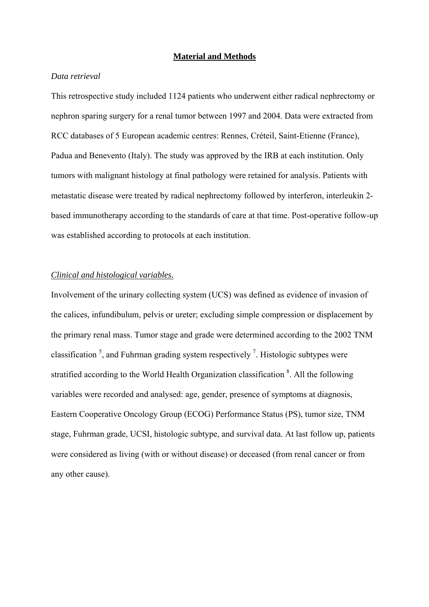#### **Material and Methods**

# *Data retrieval*

This retrospective study included 1124 patients who underwent either radical nephrectomy or nephron sparing surgery for a renal tumor between 1997 and 2004. Data were extracted from RCC databases of 5 European academic centres: Rennes, Créteil, Saint-Etienne (France), Padua and Benevento (Italy). The study was approved by the IRB at each institution. Only tumors with malignant histology at final pathology were retained for analysis. Patients with metastatic disease were treated by radical nephrectomy followed by interferon, interleukin 2 based immunotherapy according to the standards of care at that time. Post-operative follow-up was established according to protocols at each institution.

## *Clinical and histological variables.*

Involvement of the urinary collecting system (UCS) was defined as evidence of invasion of the calices, infundibulum, pelvis or ureter; excluding simple compression or displacement by the primary renal mass. Tumor stage and grade were determined according to the 2002 TNM classification<sup>5</sup>, and Fuhrman grading system respectively<sup>7</sup>. Histologic subtypes were stratified according to the World Health Organization classification <sup>8</sup>. All the following variables were recorded and analysed: age, gender, presence of symptoms at diagnosis, Eastern Cooperative Oncology Group (ECOG) Performance Status (PS), tumor size, TNM stage, Fuhrman grade, UCSI, histologic subtype, and survival data. At last follow up, patients were considered as living (with or without disease) or deceased (from renal cancer or from any other cause).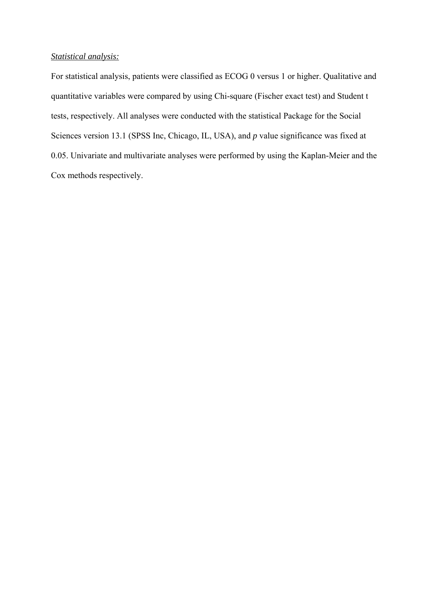# *Statistical analysis:*

For statistical analysis, patients were classified as ECOG 0 versus 1 or higher. Qualitative and quantitative variables were compared by using Chi-square (Fischer exact test) and Student t tests, respectively. All analyses were conducted with the statistical Package for the Social Sciences version 13.1 (SPSS Inc, Chicago, IL, USA), and *p* value significance was fixed at 0.05. Univariate and multivariate analyses were performed by using the Kaplan-Meier and the Cox methods respectively.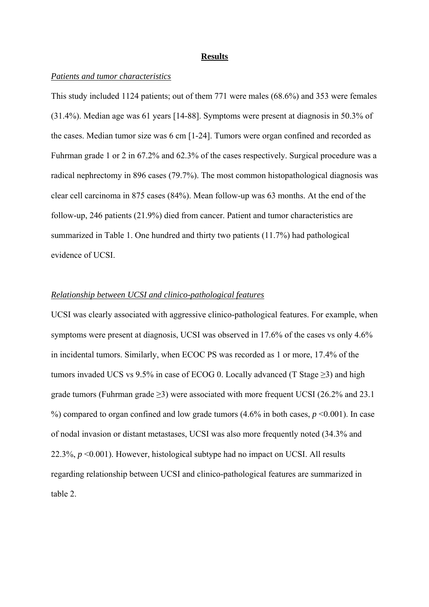#### **Results**

#### *Patients and tumor characteristics*

This study included 1124 patients; out of them 771 were males (68.6%) and 353 were females (31.4%). Median age was 61 years [14-88]. Symptoms were present at diagnosis in 50.3% of the cases. Median tumor size was 6 cm [1-24]. Tumors were organ confined and recorded as Fuhrman grade 1 or 2 in 67.2% and 62.3% of the cases respectively. Surgical procedure was a radical nephrectomy in 896 cases (79.7%). The most common histopathological diagnosis was clear cell carcinoma in 875 cases (84%). Mean follow-up was 63 months. At the end of the follow-up, 246 patients (21.9%) died from cancer. Patient and tumor characteristics are summarized in Table 1. One hundred and thirty two patients (11.7%) had pathological evidence of UCSI.

## *Relationship between UCSI and clinico-pathological features*

UCSI was clearly associated with aggressive clinico-pathological features. For example, when symptoms were present at diagnosis, UCSI was observed in 17.6% of the cases vs only 4.6% in incidental tumors. Similarly, when ECOC PS was recorded as 1 or more, 17.4% of the tumors invaded UCS vs 9.5% in case of ECOG 0. Locally advanced (T Stage  $\geq$ 3) and high grade tumors (Fuhrman grade ≥3) were associated with more frequent UCSI (26.2% and 23.1 %) compared to organ confined and low grade tumors (4.6% in both cases, *p* <0.001). In case of nodal invasion or distant metastases, UCSI was also more frequently noted (34.3% and 22.3%, *p* <0.001). However, histological subtype had no impact on UCSI. All results regarding relationship between UCSI and clinico-pathological features are summarized in table 2.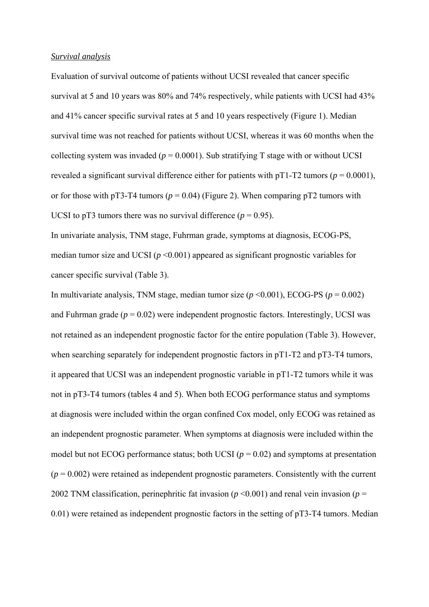#### *Survival analysis*

Evaluation of survival outcome of patients without UCSI revealed that cancer specific survival at 5 and 10 years was 80% and 74% respectively, while patients with UCSI had 43% and 41% cancer specific survival rates at 5 and 10 years respectively (Figure 1). Median survival time was not reached for patients without UCSI, whereas it was 60 months when the collecting system was invaded ( $p = 0.0001$ ). Sub stratifying T stage with or without UCSI revealed a significant survival difference either for patients with  $pT1-T2$  tumors ( $p = 0.0001$ ), or for those with pT3-T4 tumors ( $p = 0.04$ ) (Figure 2). When comparing pT2 tumors with UCSI to pT3 tumors there was no survival difference  $(p = 0.95)$ .

In univariate analysis, TNM stage, Fuhrman grade, symptoms at diagnosis, ECOG-PS, median tumor size and UCSI ( $p \le 0.001$ ) appeared as significant prognostic variables for cancer specific survival (Table 3).

In multivariate analysis, TNM stage, median tumor size  $(p \le 0.001)$ , ECOG-PS  $(p = 0.002)$ and Fuhrman grade  $(p = 0.02)$  were independent prognostic factors. Interestingly, UCSI was not retained as an independent prognostic factor for the entire population (Table 3). However, when searching separately for independent prognostic factors in pT1-T2 and pT3-T4 tumors, it appeared that UCSI was an independent prognostic variable in pT1-T2 tumors while it was not in pT3-T4 tumors (tables 4 and 5). When both ECOG performance status and symptoms at diagnosis were included within the organ confined Cox model, only ECOG was retained as an independent prognostic parameter. When symptoms at diagnosis were included within the model but not ECOG performance status; both UCSI ( $p = 0.02$ ) and symptoms at presentation  $(p = 0.002)$  were retained as independent prognostic parameters. Consistently with the current 2002 TNM classification, perinephritic fat invasion ( $p \le 0.001$ ) and renal vein invasion ( $p =$ 0.01) were retained as independent prognostic factors in the setting of pT3-T4 tumors. Median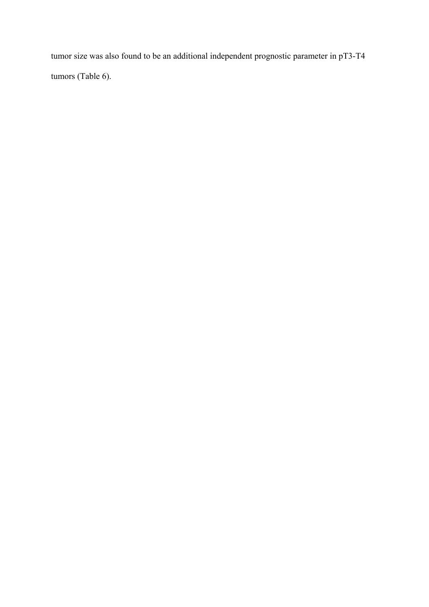tumor size was also found to be an additional independent prognostic parameter in pT3-T4 tumors (Table 6).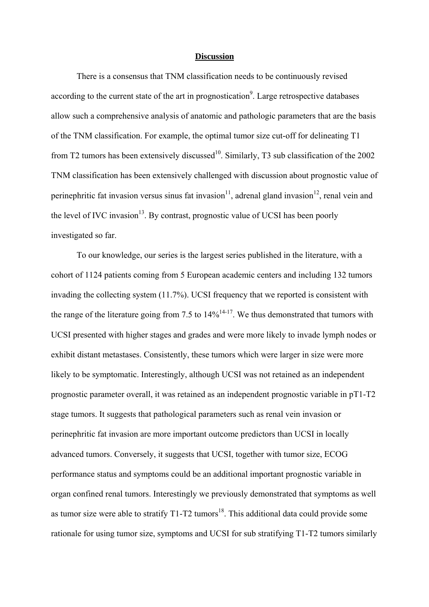#### **Discussion**

There is a consensus that TNM classification needs to be continuously revised according to the current state of the art in prognostication<sup>9</sup>. Large retrospective databases allow such a comprehensive analysis of anatomic and pathologic parameters that are the basis of the TNM classification. For example, the optimal tumor size cut-off for delineating T1 from T2 tumors has been extensively discussed<sup>10</sup>. Similarly, T3 sub classification of the 2002 TNM classification has been extensively challenged with discussion about prognostic value of perinephritic fat invasion versus sinus fat invasion<sup>11</sup>, adrenal gland invasion<sup>12</sup>, renal vein and the level of IVC invasion<sup>13</sup>. By contrast, prognostic value of UCSI has been poorly investigated so far.

To our knowledge, our series is the largest series published in the literature, with a cohort of 1124 patients coming from 5 European academic centers and including 132 tumors invading the collecting system (11.7%). UCSI frequency that we reported is consistent with the range of the literature going from 7.5 to  $14\%^{14-17}$ . We thus demonstrated that tumors with UCSI presented with higher stages and grades and were more likely to invade lymph nodes or exhibit distant metastases. Consistently, these tumors which were larger in size were more likely to be symptomatic. Interestingly, although UCSI was not retained as an independent prognostic parameter overall, it was retained as an independent prognostic variable in pT1-T2 stage tumors. It suggests that pathological parameters such as renal vein invasion or perinephritic fat invasion are more important outcome predictors than UCSI in locally advanced tumors. Conversely, it suggests that UCSI, together with tumor size, ECOG performance status and symptoms could be an additional important prognostic variable in organ confined renal tumors. Interestingly we previously demonstrated that symptoms as well as tumor size were able to stratify  $T1-T2$  tumors<sup>18</sup>. This additional data could provide some rationale for using tumor size, symptoms and UCSI for sub stratifying T1-T2 tumors similarly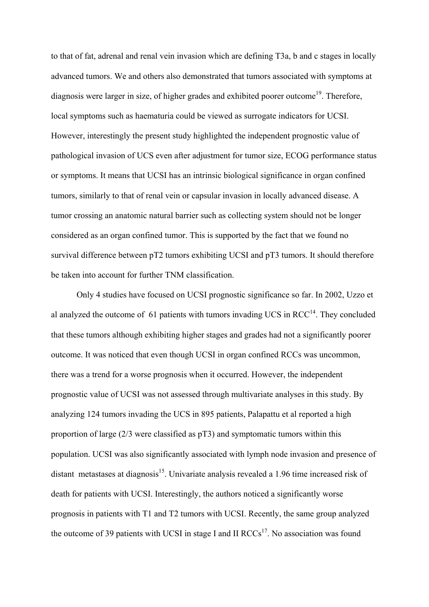to that of fat, adrenal and renal vein invasion which are defining T3a, b and c stages in locally advanced tumors. We and others also demonstrated that tumors associated with symptoms at diagnosis were larger in size, of higher grades and exhibited poorer outcome<sup>19</sup>. Therefore, local symptoms such as haematuria could be viewed as surrogate indicators for UCSI. However, interestingly the present study highlighted the independent prognostic value of pathological invasion of UCS even after adjustment for tumor size, ECOG performance status or symptoms. It means that UCSI has an intrinsic biological significance in organ confined tumors, similarly to that of renal vein or capsular invasion in locally advanced disease. A tumor crossing an anatomic natural barrier such as collecting system should not be longer considered as an organ confined tumor. This is supported by the fact that we found no survival difference between pT2 tumors exhibiting UCSI and pT3 tumors. It should therefore be taken into account for further TNM classification.

Only 4 studies have focused on UCSI prognostic significance so far. In 2002, Uzzo et al analyzed the outcome of 61 patients with tumors invading UCS in  $RCC<sup>14</sup>$ . They concluded that these tumors although exhibiting higher stages and grades had not a significantly poorer outcome. It was noticed that even though UCSI in organ confined RCCs was uncommon, there was a trend for a worse prognosis when it occurred. However, the independent prognostic value of UCSI was not assessed through multivariate analyses in this study. By analyzing 124 tumors invading the UCS in 895 patients, Palapattu et al reported a high proportion of large (2/3 were classified as pT3) and symptomatic tumors within this population. UCSI was also significantly associated with lymph node invasion and presence of distant metastases at diagnosis<sup>15</sup>. Univariate analysis revealed a 1.96 time increased risk of death for patients with UCSI. Interestingly, the authors noticed a significantly worse prognosis in patients with T1 and T2 tumors with UCSI. Recently, the same group analyzed the outcome of 39 patients with UCSI in stage I and II  $RCCs<sup>17</sup>$ . No association was found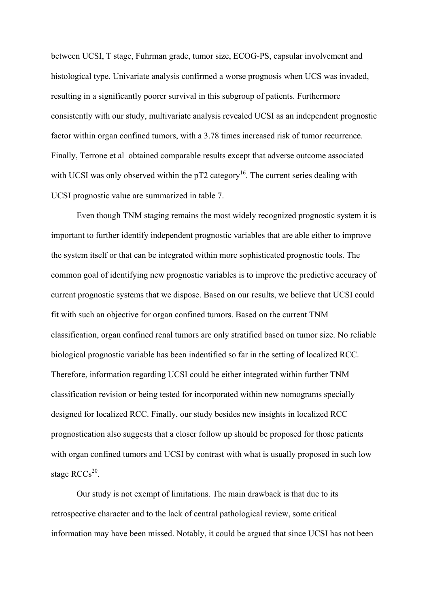between UCSI, T stage, Fuhrman grade, tumor size, ECOG-PS, capsular involvement and histological type. Univariate analysis confirmed a worse prognosis when UCS was invaded, resulting in a significantly poorer survival in this subgroup of patients. Furthermore consistently with our study, multivariate analysis revealed UCSI as an independent prognostic factor within organ confined tumors, with a 3.78 times increased risk of tumor recurrence. Finally, Terrone et al obtained comparable results except that adverse outcome associated with UCSI was only observed within the  $pT2$  category<sup>16</sup>. The current series dealing with UCSI prognostic value are summarized in table 7.

Even though TNM staging remains the most widely recognized prognostic system it is important to further identify independent prognostic variables that are able either to improve the system itself or that can be integrated within more sophisticated prognostic tools. The common goal of identifying new prognostic variables is to improve the predictive accuracy of current prognostic systems that we dispose. Based on our results, we believe that UCSI could fit with such an objective for organ confined tumors. Based on the current TNM classification, organ confined renal tumors are only stratified based on tumor size. No reliable biological prognostic variable has been indentified so far in the setting of localized RCC. Therefore, information regarding UCSI could be either integrated within further TNM classification revision or being tested for incorporated within new nomograms specially designed for localized RCC. Finally, our study besides new insights in localized RCC prognostication also suggests that a closer follow up should be proposed for those patients with organ confined tumors and UCSI by contrast with what is usually proposed in such low stage  $RCCs^{20}$ .

Our study is not exempt of limitations. The main drawback is that due to its retrospective character and to the lack of central pathological review, some critical information may have been missed. Notably, it could be argued that since UCSI has not been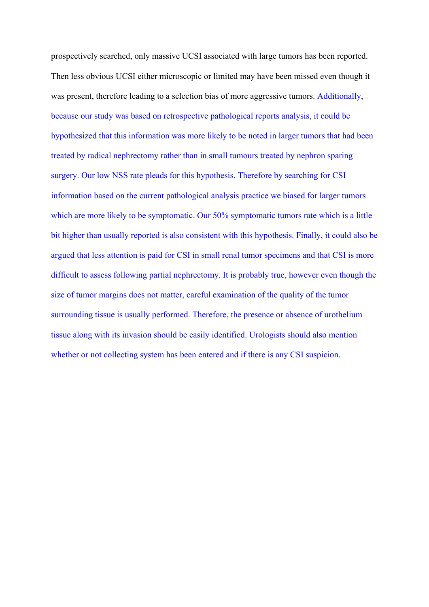prospectively searched, only massive UCSI associated with large tumors has been reported. Then less obvious UCSI either microscopic or limited may have been missed even though it was present, therefore leading to a selection bias of more aggressive tumors. Additionally, because our study was based on retrospective pathological reports analysis, it could be hypothesized that this information was more likely to be noted in larger tumors that had been treated by radical nephrectomy rather than in small tumours treated by nephron sparing surgery. Our low NSS rate pleads for this hypothesis. Therefore by searching for CSI information based on the current pathological analysis practice we biased for larger tumors which are more likely to be symptomatic. Our 50% symptomatic tumors rate which is a little bit higher than usually reported is also consistent with this hypothesis. Finally, it could also be argued that less attention is paid for CSI in small renal tumor specimens and that CSI is more difficult to assess following partial nephrectomy. It is probably true, however even though the size of tumor margins does not matter, careful examination of the quality of the tumor surrounding tissue is usually performed. Therefore, the presence or absence of urothelium tissue along with its invasion should be easily identified. Urologists should also mention whether or not collecting system has been entered and if there is any CSI suspicion.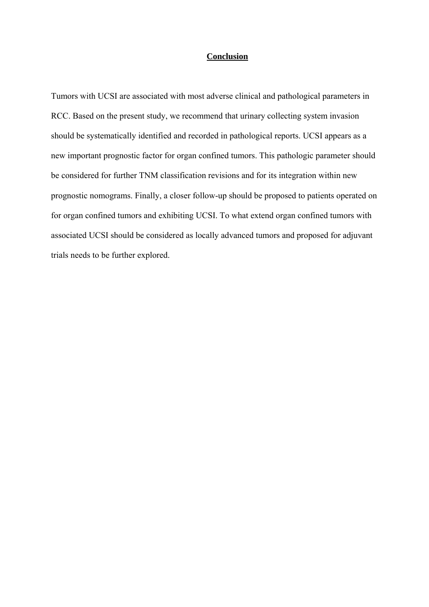# **Conclusion**

Tumors with UCSI are associated with most adverse clinical and pathological parameters in RCC. Based on the present study, we recommend that urinary collecting system invasion should be systematically identified and recorded in pathological reports. UCSI appears as a new important prognostic factor for organ confined tumors. This pathologic parameter should be considered for further TNM classification revisions and for its integration within new prognostic nomograms. Finally, a closer follow-up should be proposed to patients operated on for organ confined tumors and exhibiting UCSI. To what extend organ confined tumors with associated UCSI should be considered as locally advanced tumors and proposed for adjuvant trials needs to be further explored.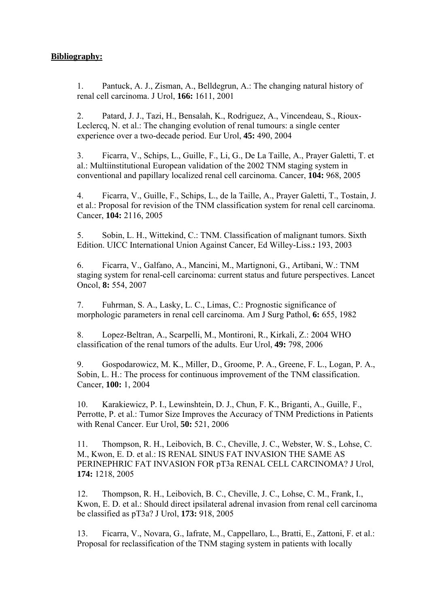# **Bibliography:**

1. Pantuck, A. J., Zisman, A., Belldegrun, A.: The changing natural history of renal cell carcinoma. J Urol, **166:** 1611, 2001

2. Patard, J. J., Tazi, H., Bensalah, K., Rodriguez, A., Vincendeau, S., Rioux-Leclercq, N. et al.: The changing evolution of renal tumours: a single center experience over a two-decade period. Eur Urol, **45:** 490, 2004

3. Ficarra, V., Schips, L., Guille, F., Li, G., De La Taille, A., Prayer Galetti, T. et al.: Multiinstitutional European validation of the 2002 TNM staging system in conventional and papillary localized renal cell carcinoma. Cancer, **104:** 968, 2005

4. Ficarra, V., Guille, F., Schips, L., de la Taille, A., Prayer Galetti, T., Tostain, J. et al.: Proposal for revision of the TNM classification system for renal cell carcinoma. Cancer, **104:** 2116, 2005

5. Sobin, L. H., Wittekind, C.: TNM. Classification of malignant tumors. Sixth Edition. UICC International Union Against Cancer, Ed Willey-Liss.**:** 193, 2003

6. Ficarra, V., Galfano, A., Mancini, M., Martignoni, G., Artibani, W.: TNM staging system for renal-cell carcinoma: current status and future perspectives. Lancet Oncol, **8:** 554, 2007

7. Fuhrman, S. A., Lasky, L. C., Limas, C.: Prognostic significance of morphologic parameters in renal cell carcinoma. Am J Surg Pathol, **6:** 655, 1982

8. Lopez-Beltran, A., Scarpelli, M., Montironi, R., Kirkali, Z.: 2004 WHO classification of the renal tumors of the adults. Eur Urol, **49:** 798, 2006

9. Gospodarowicz, M. K., Miller, D., Groome, P. A., Greene, F. L., Logan, P. A., Sobin, L. H.: The process for continuous improvement of the TNM classification. Cancer, **100:** 1, 2004

10. Karakiewicz, P. I., Lewinshtein, D. J., Chun, F. K., Briganti, A., Guille, F., Perrotte, P. et al.: Tumor Size Improves the Accuracy of TNM Predictions in Patients with Renal Cancer. Eur Urol, **50:** 521, 2006

11. Thompson, R. H., Leibovich, B. C., Cheville, J. C., Webster, W. S., Lohse, C. M., Kwon, E. D. et al.: IS RENAL SINUS FAT INVASION THE SAME AS PERINEPHRIC FAT INVASION FOR pT3a RENAL CELL CARCINOMA? J Urol, **174:** 1218, 2005

12. Thompson, R. H., Leibovich, B. C., Cheville, J. C., Lohse, C. M., Frank, I., Kwon, E. D. et al.: Should direct ipsilateral adrenal invasion from renal cell carcinoma be classified as pT3a? J Urol, **173:** 918, 2005

13. Ficarra, V., Novara, G., Iafrate, M., Cappellaro, L., Bratti, E., Zattoni, F. et al.: Proposal for reclassification of the TNM staging system in patients with locally